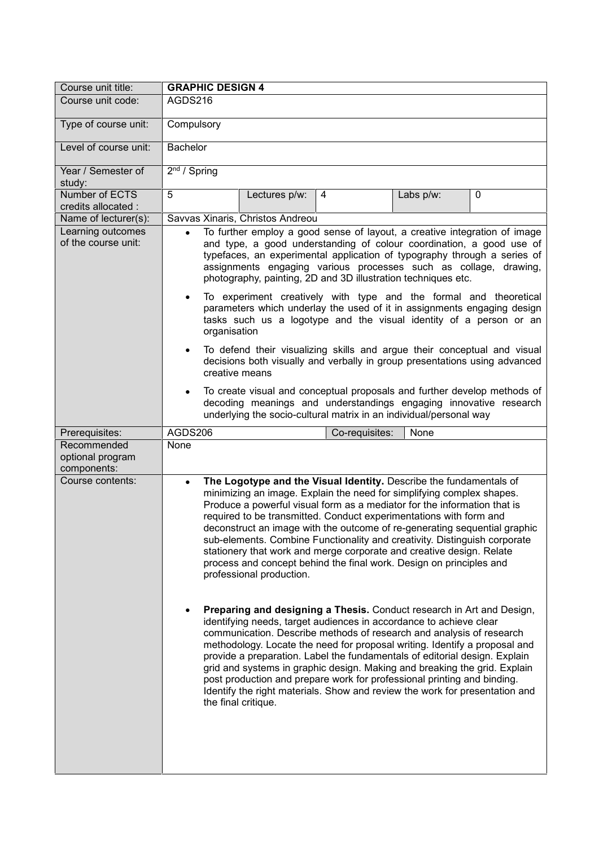| Course unit title:                             | <b>GRAPHIC DESIGN 4</b>                                                                                                                                                                                                                                                                                                                                                                                                                                                                                                                                                                                                                                                                                                                                                                                                                                                                                                                                                                                                                                                                                                                                                                                                                                                                          |
|------------------------------------------------|--------------------------------------------------------------------------------------------------------------------------------------------------------------------------------------------------------------------------------------------------------------------------------------------------------------------------------------------------------------------------------------------------------------------------------------------------------------------------------------------------------------------------------------------------------------------------------------------------------------------------------------------------------------------------------------------------------------------------------------------------------------------------------------------------------------------------------------------------------------------------------------------------------------------------------------------------------------------------------------------------------------------------------------------------------------------------------------------------------------------------------------------------------------------------------------------------------------------------------------------------------------------------------------------------|
| Course unit code:                              | AGDS216                                                                                                                                                                                                                                                                                                                                                                                                                                                                                                                                                                                                                                                                                                                                                                                                                                                                                                                                                                                                                                                                                                                                                                                                                                                                                          |
| Type of course unit:                           | Compulsory                                                                                                                                                                                                                                                                                                                                                                                                                                                                                                                                                                                                                                                                                                                                                                                                                                                                                                                                                                                                                                                                                                                                                                                                                                                                                       |
| Level of course unit:                          | <b>Bachelor</b>                                                                                                                                                                                                                                                                                                                                                                                                                                                                                                                                                                                                                                                                                                                                                                                                                                                                                                                                                                                                                                                                                                                                                                                                                                                                                  |
| Year / Semester of<br>study:                   | $2nd$ / Spring                                                                                                                                                                                                                                                                                                                                                                                                                                                                                                                                                                                                                                                                                                                                                                                                                                                                                                                                                                                                                                                                                                                                                                                                                                                                                   |
| Number of ECTS<br>credits allocated :          | 5<br>Lectures p/w:<br>4<br>Labs p/w:<br>0                                                                                                                                                                                                                                                                                                                                                                                                                                                                                                                                                                                                                                                                                                                                                                                                                                                                                                                                                                                                                                                                                                                                                                                                                                                        |
| Name of lecturer(s):                           | Savvas Xinaris, Christos Andreou                                                                                                                                                                                                                                                                                                                                                                                                                                                                                                                                                                                                                                                                                                                                                                                                                                                                                                                                                                                                                                                                                                                                                                                                                                                                 |
| Learning outcomes<br>of the course unit:       | To further employ a good sense of layout, a creative integration of image<br>$\bullet$<br>and type, a good understanding of colour coordination, a good use of<br>typefaces, an experimental application of typography through a series of<br>assignments engaging various processes such as collage, drawing,<br>photography, painting, 2D and 3D illustration techniques etc.<br>To experiment creatively with type and the formal and theoretical<br>parameters which underlay the used of it in assignments engaging design<br>tasks such us a logotype and the visual identity of a person or an<br>organisation                                                                                                                                                                                                                                                                                                                                                                                                                                                                                                                                                                                                                                                                            |
|                                                | To defend their visualizing skills and argue their conceptual and visual<br>$\bullet$<br>decisions both visually and verbally in group presentations using advanced<br>creative means                                                                                                                                                                                                                                                                                                                                                                                                                                                                                                                                                                                                                                                                                                                                                                                                                                                                                                                                                                                                                                                                                                            |
|                                                | To create visual and conceptual proposals and further develop methods of<br>٠<br>decoding meanings and understandings engaging innovative research<br>underlying the socio-cultural matrix in an individual/personal way                                                                                                                                                                                                                                                                                                                                                                                                                                                                                                                                                                                                                                                                                                                                                                                                                                                                                                                                                                                                                                                                         |
| Prerequisites:                                 | AGDS206<br>None<br>Co-requisites:                                                                                                                                                                                                                                                                                                                                                                                                                                                                                                                                                                                                                                                                                                                                                                                                                                                                                                                                                                                                                                                                                                                                                                                                                                                                |
| Recommended<br>optional program<br>components: | None                                                                                                                                                                                                                                                                                                                                                                                                                                                                                                                                                                                                                                                                                                                                                                                                                                                                                                                                                                                                                                                                                                                                                                                                                                                                                             |
| Course contents:                               | The Logotype and the Visual Identity. Describe the fundamentals of<br>$\bullet$<br>minimizing an image. Explain the need for simplifying complex shapes.<br>Produce a powerful visual form as a mediator for the information that is<br>required to be transmitted. Conduct experimentations with form and<br>deconstruct an image with the outcome of re-generating sequential graphic<br>sub-elements. Combine Functionality and creativity. Distinguish corporate<br>stationery that work and merge corporate and creative design. Relate<br>process and concept behind the final work. Design on principles and<br>professional production.<br>Preparing and designing a Thesis. Conduct research in Art and Design,<br>identifying needs, target audiences in accordance to achieve clear<br>communication. Describe methods of research and analysis of research<br>methodology. Locate the need for proposal writing. Identify a proposal and<br>provide a preparation. Label the fundamentals of editorial design. Explain<br>grid and systems in graphic design. Making and breaking the grid. Explain<br>post production and prepare work for professional printing and binding.<br>Identify the right materials. Show and review the work for presentation and<br>the final critique. |